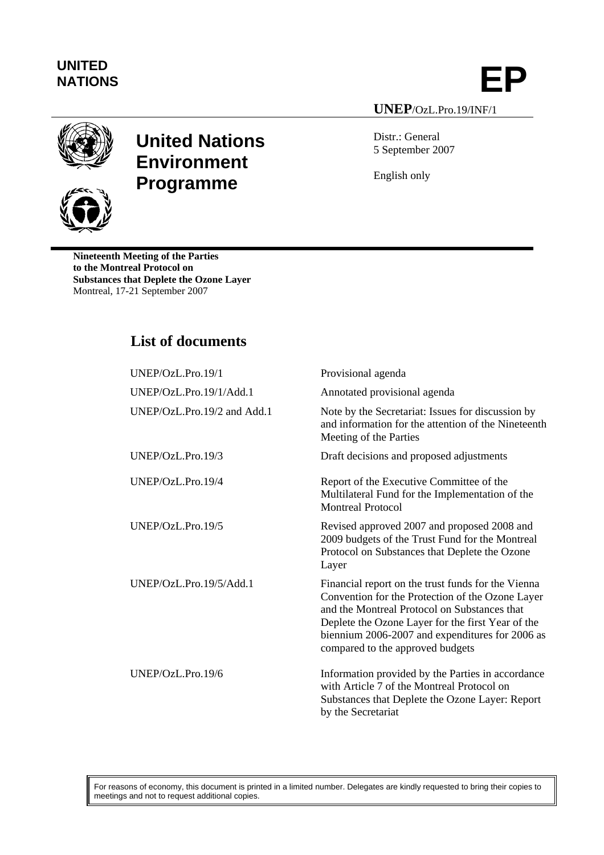## **UNITED**

UNITED<br>NATIONS **EP UNEP**/OzL.Pro.19/INF/1



**United Nations Environment Programme**

Distr.: General 5 September 2007

English only

**Nineteenth Meeting of the Parties to the Montreal Protocol on Substances that Deplete the Ozone Layer**  Montreal, 17-21 September 2007

## **List of documents**

| UNEP/OzL.Pro.19/1           | Provisional agenda                                                                                                                                                                                                                                                                                 |
|-----------------------------|----------------------------------------------------------------------------------------------------------------------------------------------------------------------------------------------------------------------------------------------------------------------------------------------------|
| UNEP/OzL.Pro.19/1/Add.1     | Annotated provisional agenda                                                                                                                                                                                                                                                                       |
| UNEP/OzL.Pro.19/2 and Add.1 | Note by the Secretariat: Issues for discussion by<br>and information for the attention of the Nineteenth<br>Meeting of the Parties                                                                                                                                                                 |
| UNEP/OzL.Pro.19/3           | Draft decisions and proposed adjustments                                                                                                                                                                                                                                                           |
| UNEP/OZL.Pro.19/4           | Report of the Executive Committee of the<br>Multilateral Fund for the Implementation of the<br><b>Montreal Protocol</b>                                                                                                                                                                            |
| UNEP/OzL.Pro.19/5           | Revised approved 2007 and proposed 2008 and<br>2009 budgets of the Trust Fund for the Montreal<br>Protocol on Substances that Deplete the Ozone<br>Layer                                                                                                                                           |
| UNEP/OzL.Pro.19/5/Add.1     | Financial report on the trust funds for the Vienna<br>Convention for the Protection of the Ozone Layer<br>and the Montreal Protocol on Substances that<br>Deplete the Ozone Layer for the first Year of the<br>biennium 2006-2007 and expenditures for 2006 as<br>compared to the approved budgets |
| UNEP/OzL.Pro.19/6           | Information provided by the Parties in accordance<br>with Article 7 of the Montreal Protocol on<br>Substances that Deplete the Ozone Layer: Report<br>by the Secretariat                                                                                                                           |

For reasons of economy, this document is printed in a limited number. Delegates are kindly requested to bring their copies to meetings and not to request additional copies.